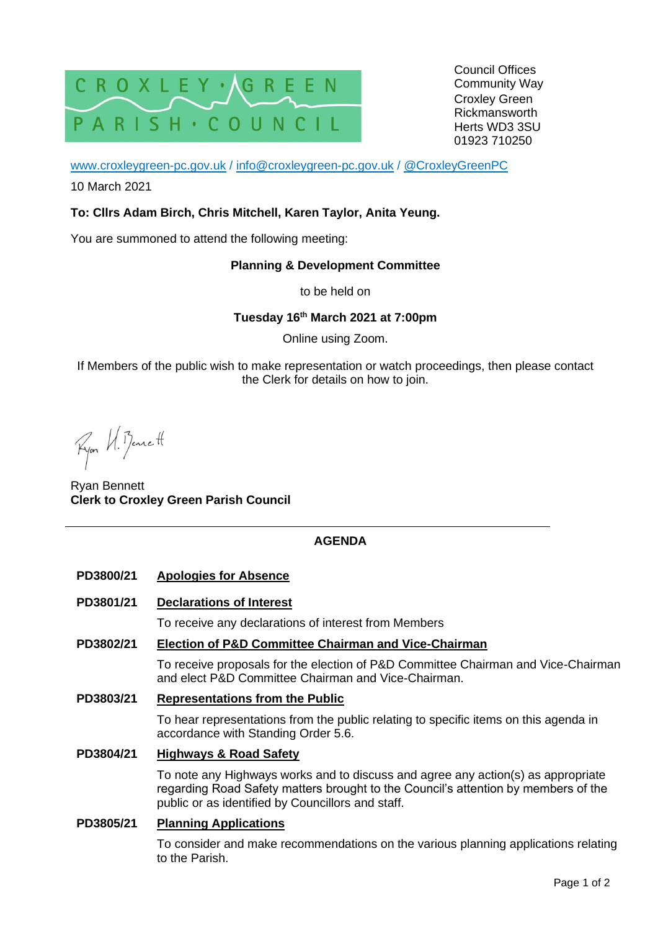

Council Offices Community Way Croxley Green Rickmansworth Herts WD3 3SU 01923 710250

[www.croxleygreen-pc.gov.uk](http://www.croxleygreen-pc.gov.uk/) / [info@croxleygreen-pc.gov.uk](mailto:info@croxleygreen-pc.gov.uk) / [@CroxleyGreenPC](https://twitter.com/CroxleyGreenPC)

10 March 2021

## **To: Cllrs Adam Birch, Chris Mitchell, Karen Taylor, Anita Yeung.**

You are summoned to attend the following meeting:

### **Planning & Development Committee**

to be held on

# **Tuesday 16 th March 2021 at 7:00pm**

Online using Zoom.

If Members of the public wish to make representation or watch proceedings, then please contact the Clerk for details on how to join.

Ryon U. Benett

Ryan Bennett **Clerk to Croxley Green Parish Council**

# **AGENDA**

### **PD3800/21 Apologies for Absence**

**PD3801/21 Declarations of Interest**

To receive any declarations of interest from Members

### **PD3802/21 Election of P&D Committee Chairman and Vice-Chairman**

To receive proposals for the election of P&D Committee Chairman and Vice-Chairman and elect P&D Committee Chairman and Vice-Chairman.

### **PD3803/21 Representations from the Public**

To hear representations from the public relating to specific items on this agenda in accordance with Standing Order 5.6.

### **PD3804/21 Highways & Road Safety**

To note any Highways works and to discuss and agree any action(s) as appropriate regarding Road Safety matters brought to the Council's attention by members of the public or as identified by Councillors and staff.

### **PD3805/21 Planning Applications**

To consider and make recommendations on the various planning applications relating to the Parish.